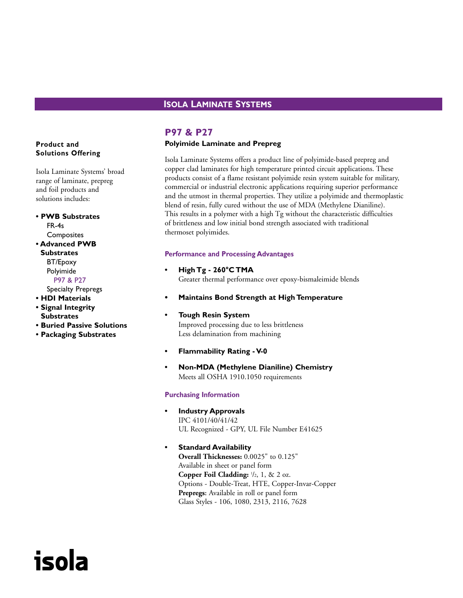# **ISOLA LAMINATE SYSTEMS**

# **Product and Solutions Offering**

Isola Laminate Systems' broad range of laminate, prepreg and foil products and solutions includes:

**• PWB Substrates** FR-4s **Composites • Advanced PWB Substrates** BT/Epoxy Polyimide P97 & P27

Specialty Prepregs

- **HDI Materials**
- **Signal Integrity Substrates**

isola

- **Buried Passive Solutions**
- **Packaging Substrates**

# **P97 & P27**

# **Polyimide Laminate and Prepreg**

Isola Laminate Systems offers a product line of polyimide-based prepreg and copper clad laminates for high temperature printed circuit applications. These products consist of a flame resistant polyimide resin system suitable for military, commercial or industrial electronic applications requiring superior performance and the utmost in thermal properties. They utilize a polyimide and thermoplastic blend of resin, fully cured without the use of MDA (Methylene Dianiline). This results in a polymer with a high Tg without the characteristic difficulties of brittleness and low initial bond strength associated with traditional thermoset polyimides.

#### **Performance and Processing Advantages**

- **High Tg 260°C TMA** Greater thermal performance over epoxy-bismaleimide blends
- **• Maintains Bond Strength at High Temperature**

## **• Tough Resin System** Improved processing due to less brittleness Less delamination from machining

- **Flammability Rating V-0**
- **Non-MDA (Methylene Dianiline) Chemistry** Meets all OSHA 1910.1050 requirements

# **Purchasing Information**

- **Industry Approvals** IPC 4101/40/41/42 UL Recognized - GPY, UL File Number E41625
- **Standard Availability Overall Thicknesses:** 0.0025" to 0.125" Available in sheet or panel form **Copper Foil Cladding:**  $\frac{1}{2}$ , 1, & 2 oz. Options - Double-Treat, HTE, Copper-Invar-Copper **Prepregs:** Available in roll or panel form Glass Styles - 106, 1080, 2313, 2116, 7628